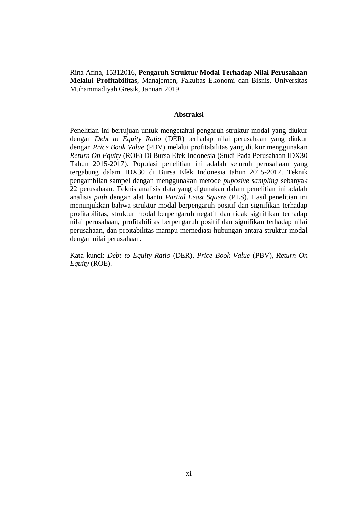Rina Afina, 15312016, **Pengaruh Struktur Modal Terhadap Nilai Perusahaan Melalui Profitabilitas**, Manajemen, Fakultas Ekonomi dan Bisnis, Universitas Muhammadiyah Gresik, Januari 2019.

## **Abstraksi**

Penelitian ini bertujuan untuk mengetahui pengaruh struktur modal yang diukur dengan *Debt to Equity Ratio* (DER) terhadap nilai perusahaan yang diukur dengan *Price Book Value* (PBV) melalui profitabilitas yang diukur menggunakan *Return On Equity* (ROE) Di Bursa Efek Indonesia (Studi Pada Perusahaan IDX30 Tahun 2015-2017). Populasi penelitian ini adalah seluruh perusahaan yang tergabung dalam IDX30 di Bursa Efek Indonesia tahun 2015-2017. Teknik pengambilan sampel dengan menggunakan metode *puposive sampling* sebanyak 22 perusahaan. Teknis analisis data yang digunakan dalam penelitian ini adalah analisis *path* dengan alat bantu *Partial Least Squere* (PLS). Hasil penelitian ini menunjukkan bahwa struktur modal berpengaruh positif dan signifikan terhadap profitabilitas, struktur modal berpengaruh negatif dan tidak signifikan terhadap nilai perusahaan, profitabilitas berpengaruh positif dan signifikan terhadap nilai perusahaan, dan proitabilitas mampu memediasi hubungan antara struktur modal dengan nilai perusahaan.

Kata kunci: *Debt to Equity Ratio* (DER), *Price Book Value* (PBV), *Return On Equity* (ROE).